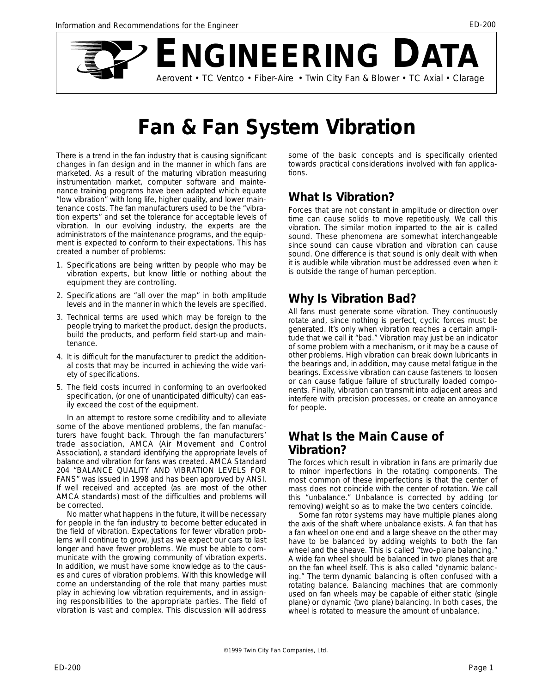

# **Fan & Fan System Vibration**

There is a trend in the fan industry that is causing significant changes in fan design and in the manner in which fans are marketed. As a result of the maturing vibration measuring instrumentation market, computer software and maintenance training programs have been adapted which equate "low vibration" with long life, higher quality, and lower maintenance costs. The fan manufacturers used to be the "vibration experts" and set the tolerance for acceptable levels of vibration. In our evolving industry, the experts are the administrators of the maintenance programs, and the equipment is expected to conform to their expectations. This has created a number of problems:

- 1. Specifications are being written by people who may be vibration experts, but know little or nothing about the equipment they are controlling.
- 2. Specifications are "all over the map" in both amplitude levels and in the manner in which the levels are specified.
- 3. Technical terms are used which may be foreign to the people trying to market the product, design the products, build the products, and perform field start-up and maintenance.
- 4. It is difficult for the manufacturer to predict the additional costs that may be incurred in achieving the wide variety of specifications.
- 5. The field costs incurred in conforming to an overlooked specification, (or one of unanticipated difficulty) can easily exceed the cost of the equipment.

In an attempt to restore some credibility and to alleviate some of the above mentioned problems, the fan manufacturers have fought back. Through the fan manufacturers' trade association, AMCA (Air Movement and Control Association), a standard identifying the appropriate levels of balance and vibration for fans was created. AMCA Standard 204 "BALANCE QUALITY AND VIBRATION LEVELS FOR FANS" was issued in 1998 and has been approved by ANSI. If well received and accepted (as are most of the other AMCA standards) most of the difficulties and problems will be corrected.

No matter what happens in the future, it will be necessary for people in the fan industry to become better educated in the field of vibration. Expectations for fewer vibration problems will continue to grow, just as we expect our cars to last longer and have fewer problems. We must be able to communicate with the growing community of vibration experts. In addition, we must have some knowledge as to the causes and cures of vibration problems. With this knowledge will come an understanding of the role that many parties must play in achieving low vibration requirements, and in assigning responsibilities to the appropriate parties. The field of vibration is vast and complex. This discussion will address some of the basic concepts and is specifically oriented towards practical considerations involved with fan applications.

# **What Is Vibration?**

Forces that are not constant in amplitude or direction over time can cause solids to move repetitiously. We call this vibration. The similar motion imparted to the air is called sound. These phenomena are somewhat interchangeable since sound can cause vibration and vibration can cause sound. One difference is that sound is only dealt with when it is audible while vibration must be addressed even when it is outside the range of human perception.

# **Why Is Vibration Bad?**

All fans must generate some vibration. They continuously rotate and, since nothing is perfect, cyclic forces must be generated. It's only when vibration reaches a certain amplitude that we call it "bad." Vibration may just be an indicator of some problem with a mechanism, or it may be a cause of other problems. High vibration can break down lubricants in the bearings and, in addition, may cause metal fatigue in the bearings. Excessive vibration can cause fasteners to loosen or can cause fatigue failure of structurally loaded components. Finally, vibration can transmit into adjacent areas and interfere with precision processes, or create an annoyance for people.

# **What Is the Main Cause of Vibration?**

The forces which result in vibration in fans are primarily due to minor imperfections in the rotating components. The most common of these imperfections is that the center of mass does not coincide with the center of rotation. We call this "unbalance." Unbalance is corrected by adding (or removing) weight so as to make the two centers coincide.

Some fan rotor systems may have multiple planes along the axis of the shaft where unbalance exists. A fan that has a fan wheel on one end and a large sheave on the other may have to be balanced by adding weights to both the fan wheel and the sheave. This is called "two-plane balancing." A wide fan wheel should be balanced in two planes that are on the fan wheel itself. This is also called "dynamic balancing." The term dynamic balancing is often confused with a rotating balance. Balancing machines that are commonly used on fan wheels may be capable of either static (single plane) or dynamic (two plane) balancing. In both cases, the wheel is rotated to measure the amount of unbalance.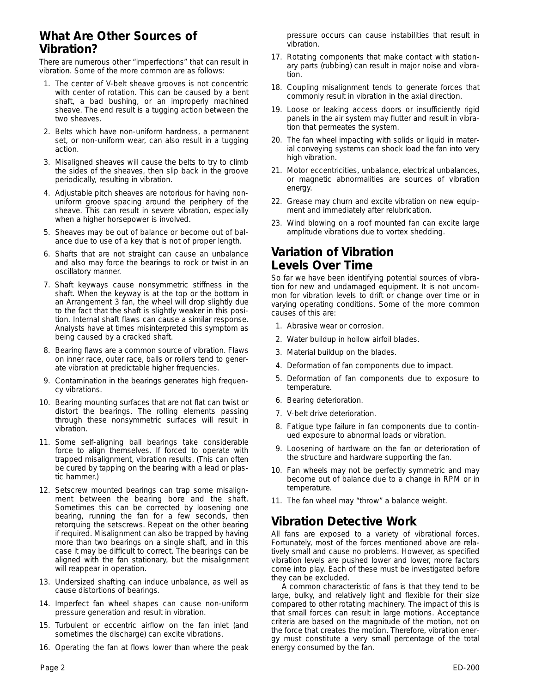#### **What Are Other Sources of Vibration?**

There are numerous other "imperfections" that can result in vibration. Some of the more common are as follows:

- 1. The center of V-belt sheave grooves is not concentric with center of rotation. This can be caused by a bent shaft, a bad bushing, or an improperly machined sheave. The end result is a tugging action between the two sheaves.
- 2. Belts which have non-uniform hardness, a permanent set, or non-uniform wear, can also result in a tugging action.
- 3. Misaligned sheaves will cause the belts to try to climb the sides of the sheaves, then slip back in the groove periodically, resulting in vibration.
- 4. Adjustable pitch sheaves are notorious for having nonuniform groove spacing around the periphery of the sheave. This can result in severe vibration, especially when a higher horsepower is involved.
- 5. Sheaves may be out of balance or become out of balance due to use of a key that is not of proper length.
- 6. Shafts that are not straight can cause an unbalance and also may force the bearings to rock or twist in an oscillatory manner.
- 7. Shaft keyways cause nonsymmetric stiffness in the shaft. When the keyway is at the top or the bottom in an Arrangement 3 fan, the wheel will drop slightly due to the fact that the shaft is slightly weaker in this position. Internal shaft flaws can cause a similar response. Analysts have at times misinterpreted this symptom as being caused by a cracked shaft.
- 8. Bearing flaws are a common source of vibration. Flaws on inner race, outer race, balls or rollers tend to generate vibration at predictable higher frequencies.
- 9. Contamination in the bearings generates high frequency vibrations.
- 10. Bearing mounting surfaces that are not flat can twist or distort the bearings. The rolling elements passing through these nonsymmetric surfaces will result in vibration.
- 11. Some self-aligning ball bearings take considerable force to align themselves. If forced to operate with trapped misalignment, vibration results. (This can often be cured by tapping on the bearing with a lead or plastic hammer.)
- 12. Setscrew mounted bearings can trap some misalignment between the bearing bore and the shaft. Sometimes this can be corrected by loosening one bearing, running the fan for a few seconds, then retorquing the setscrews. Repeat on the other bearing if required. Misalignment can also be trapped by having more than two bearings on a single shaft, and in this case it may be difficult to correct. The bearings can be aligned with the fan stationary, but the misalignment will reappear in operation.
- 13. Undersized shafting can induce unbalance, as well as cause distortions of bearings.
- 14. Imperfect fan wheel shapes can cause non-uniform pressure generation and result in vibration.
- 15. Turbulent or eccentric airflow on the fan inlet (and sometimes the discharge) can excite vibrations.
- 16. Operating the fan at flows lower than where the peak

pressure occurs can cause instabilities that result in vibration.

- 17. Rotating components that make contact with stationary parts (rubbing) can result in major noise and vibration.
- 18. Coupling misalignment tends to generate forces that commonly result in vibration in the axial direction.
- 19. Loose or leaking access doors or insufficiently rigid panels in the air system may flutter and result in vibration that permeates the system.
- 20. The fan wheel impacting with solids or liquid in material conveying systems can shock load the fan into very high vibration.
- 21. Motor eccentricities, unbalance, electrical unbalances, or magnetic abnormalities are sources of vibration energy.
- 22. Grease may churn and excite vibration on new equipment and immediately after relubrication.
- 23. Wind blowing on a roof mounted fan can excite large amplitude vibrations due to vortex shedding.

#### **Variation of Vibration Levels Over Time**

So far we have been identifying potential sources of vibration for new and undamaged equipment. It is not uncommon for vibration levels to drift or change over time or in varying operating conditions. Some of the more common causes of this are:

- 1. Abrasive wear or corrosion.
- 2. Water buildup in hollow airfoil blades.
- 3. Material buildup on the blades.
- 4. Deformation of fan components due to impact.
- 5. Deformation of fan components due to exposure to temperature.
- 6. Bearing deterioration.
- 7. V-belt drive deterioration.
- 8. Fatigue type failure in fan components due to continued exposure to abnormal loads or vibration.
- 9. Loosening of hardware on the fan or deterioration of the structure and hardware supporting the fan.
- 10. Fan wheels may not be perfectly symmetric and may become out of balance due to a change in RPM or in temperature.
- 11. The fan wheel may "throw" a balance weight.

#### **Vibration Detective Work**

All fans are exposed to a variety of vibrational forces. Fortunately, most of the forces mentioned above are relatively small and cause no problems. However, as specified vibration levels are pushed lower and lower, more factors come into play. Each of these must be investigated before they can be excluded.

A common characteristic of fans is that they tend to be large, bulky, and relatively light and flexible for their size compared to other rotating machinery. The impact of this is that small forces can result in large motions. Acceptance criteria are based on the magnitude of the motion, not on the force that creates the motion. Therefore, vibration energy must constitute a very small percentage of the total energy consumed by the fan.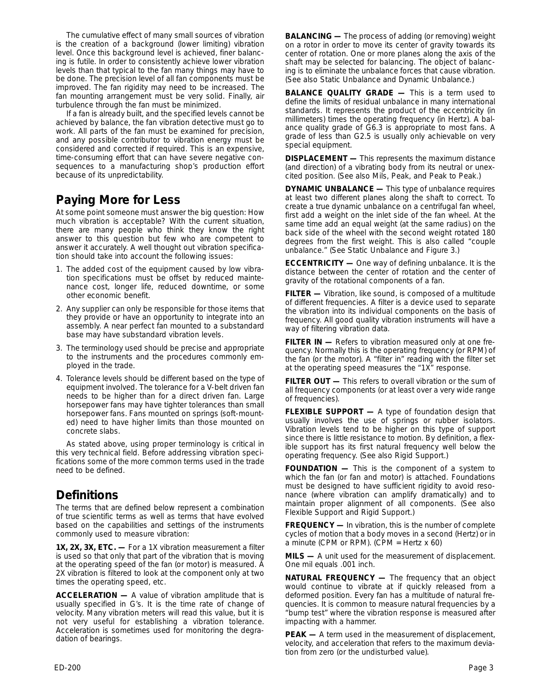The cumulative effect of many small sources of vibration is the creation of a background (lower limiting) vibration level. Once this background level is achieved, finer balancing is futile. In order to consistently achieve lower vibration levels than that typical to the fan many things may have to be done. The precision level of all fan components must be improved. The fan rigidity may need to be increased. The fan mounting arrangement must be very solid. Finally, air turbulence through the fan must be minimized.

If a fan is already built, and the specified levels cannot be achieved by balance, the fan vibration detective must go to work. All parts of the fan must be examined for precision, and any possible contributor to vibration energy must be considered and corrected if required. This is an expensive, time-consuming effort that can have severe negative consequences to a manufacturing shop's production effort because of its unpredictability.

# **Paying More for Less**

At some point someone must answer the big question: How much vibration is acceptable? With the current situation, there are many people who think they know the right answer to this question but few who are competent to answer it accurately. A well thought out vibration specification should take into account the following issues:

- 1. The added cost of the equipment caused by low vibration specifications must be offset by reduced maintenance cost, longer life, reduced downtime, or some other economic benefit.
- 2. Any supplier can only be responsible for those items that they provide or have an opportunity to integrate into an assembly. A near perfect fan mounted to a substandard base may have substandard vibration levels.
- 3. The terminology used should be precise and appropriate to the instruments and the procedures commonly employed in the trade.
- 4. Tolerance levels should be different based on the type of equipment involved. The tolerance for a V-belt driven fan needs to be higher than for a direct driven fan. Large horsepower fans may have tighter tolerances than small horsepower fans. Fans mounted on springs (soft-mounted) need to have higher limits than those mounted on concrete slabs.

As stated above, using proper terminology is critical in this very technical field. Before addressing vibration specifications some of the more common terms used in the trade need to be defined.

# **Definitions**

The terms that are defined below represent a combination of true scientific terms as well as terms that have evolved based on the capabilities and settings of the instruments commonly used to measure vibration:

**1X, 2X, 3X, ETC. —** For a 1X vibration measurement a filter is used so that only that part of the vibration that is moving at the operating speed of the fan (or motor) is measured. A 2X vibration is filtered to look at the component only at two times the operating speed, etc.

**ACCELERATION —** A value of vibration amplitude that is usually specified in G's. It is the time rate of change of velocity. Many vibration meters will read this value, but it is not very useful for establishing a vibration tolerance. Acceleration is sometimes used for monitoring the degradation of bearings.

**BALANCING —** The process of adding (or removing) weight on a rotor in order to move its center of gravity towards its center of rotation. One or more planes along the axis of the shaft may be selected for balancing. The object of balancing is to eliminate the unbalance forces that cause vibration. (See also Static Unbalance and Dynamic Unbalance.)

**BALANCE QUALITY GRADE —** This is a term used to define the limits of residual unbalance in many international standards. It represents the product of the eccentricity (in millimeters) times the operating frequency (in Hertz). A balance quality grade of G6.3 is appropriate to most fans. A grade of less than G2.5 is usually only achievable on very special equipment.

**DISPLACEMENT —** This represents the maximum distance (and direction) of a vibrating body from its neutral or unexcited position. (See also Mils, Peak, and Peak to Peak.)

**DYNAMIC UNBALANCE —** This type of unbalance requires at least two different planes along the shaft to correct. To create a true dynamic unbalance on a centrifugal fan wheel, first add a weight on the inlet side of the fan wheel. At the same time add an equal weight (at the same radius) on the back side of the wheel with the second weight rotated 180 degrees from the first weight. This is also called "couple unbalance." (See Static Unbalance and Figure 3.)

**ECCENTRICITY —** One way of defining unbalance. It is the distance between the center of rotation and the center of gravity of the rotational components of a fan.

**FILTER —** Vibration, like sound, is composed of a multitude of different frequencies. A filter is a device used to separate the vibration into its individual components on the basis of frequency. All good quality vibration instruments will have a way of filtering vibration data.

**FILTER IN —** Refers to vibration measured only at one frequency. Normally this is the operating frequency (or RPM) of the fan (or the motor). A "filter in" reading with the filter set at the operating speed measures the "1X" response.

**FILTER OUT —** This refers to overall vibration or the sum of all frequency components (or at least over a very wide range of frequencies).

**FLEXIBLE SUPPORT —** A type of foundation design that usually involves the use of springs or rubber isolators. Vibration levels tend to be higher on this type of support since there is little resistance to motion. By definition, a flexible support has its first natural frequency well below the operating frequency. (See also Rigid Support.)

**FOUNDATION —** This is the component of a system to which the fan (or fan and motor) is attached. Foundations must be designed to have sufficient rigidity to avoid resonance (where vibration can amplify dramatically) and to maintain proper alignment of all components. (See also Flexible Support and Rigid Support.)

**FREQUENCY —** In vibration, this is the number of complete cycles of motion that a body moves in a second (Hertz) or in a minute (CPM or RPM). (CPM = Hertz x 60)

**MILS —** A unit used for the measurement of displacement. One mil equals .001 inch.

**NATURAL FREQUENCY —** The frequency that an object would continue to vibrate at if quickly released from a deformed position. Every fan has a multitude of natural frequencies. It is common to measure natural frequencies by a "bump test" where the vibration response is measured after impacting with a hammer.

**PEAK —** A term used in the measurement of displacement, velocity, and acceleration that refers to the maximum deviation from zero (or the undisturbed value).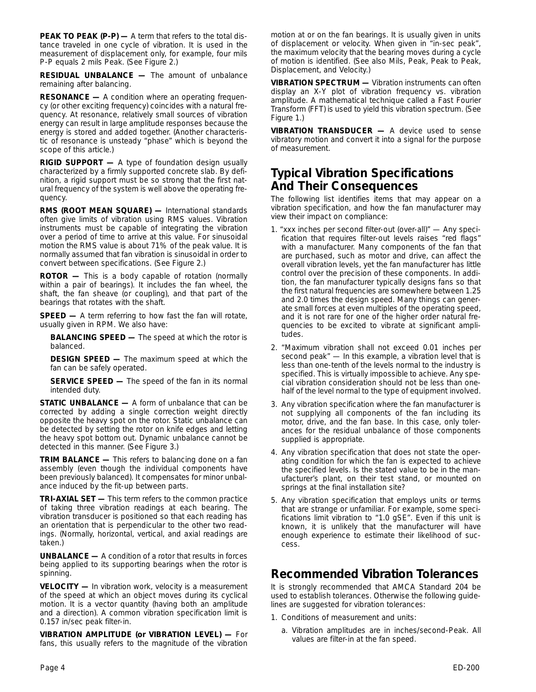**PEAK TO PEAK (P-P) —** A term that refers to the total distance traveled in one cycle of vibration. It is used in the measurement of displacement only, for example, four mils P-P equals 2 mils Peak. (See Figure 2.)

**RESIDUAL UNBALANCE —** The amount of unbalance remaining after balancing.

**RESONANCE —** A condition where an operating frequency (or other exciting frequency) coincides with a natural frequency. At resonance, relatively small sources of vibration energy can result in large amplitude responses because the energy is stored and added together. (Another characteristic of resonance is unsteady "phase" which is beyond the scope of this article.)

**RIGID SUPPORT —** A type of foundation design usually characterized by a firmly supported concrete slab. By definition, a rigid support must be so strong that the first natural frequency of the system is well above the operating frequency.

**RMS (ROOT MEAN SQUARE) —** International standards often give limits of vibration using RMS values. Vibration instruments must be capable of integrating the vibration over a period of time to arrive at this value. For sinusoidal motion the RMS value is about 71% of the peak value. It is normally assumed that fan vibration is sinusoidal in order to convert between specifications. (See Figure 2.)

**ROTOR —** This is a body capable of rotation (normally within a pair of bearings). It includes the fan wheel, the shaft, the fan sheave (or coupling), and that part of the bearings that rotates with the shaft.

**SPEED** - A term referring to how fast the fan will rotate, usually given in RPM. We also have:

**BALANCING SPEED —** The speed at which the rotor is balanced.

**DESIGN SPEED —** The maximum speed at which the fan can be safely operated.

**SERVICE SPEED —** The speed of the fan in its normal intended duty.

**STATIC UNBALANCE —** A form of unbalance that can be corrected by adding a single correction weight directly opposite the heavy spot on the rotor. Static unbalance can be detected by setting the rotor on knife edges and letting the heavy spot bottom out. Dynamic unbalance cannot be detected in this manner. (See Figure 3.)

**TRIM BALANCE —** This refers to balancing done on a fan assembly (even though the individual components have been previously balanced). It compensates for minor unbalance induced by the fit-up between parts.

**TRI-AXIAL SET —** This term refers to the common practice of taking three vibration readings at each bearing. The vibration transducer is positioned so that each reading has an orientation that is perpendicular to the other two readings. (Normally, horizontal, vertical, and axial readings are taken.)

**UNBALANCE —** A condition of a rotor that results in forces being applied to its supporting bearings when the rotor is spinning.

**VELOCITY —** In vibration work, velocity is a measurement of the speed at which an object moves during its cyclical motion. It is a vector quantity (having both an amplitude and a direction). A common vibration specification limit is 0.157 in/sec peak filter-in.

**VIBRATION AMPLITUDE (or VIBRATION LEVEL) —** For fans, this usually refers to the magnitude of the vibration motion at or on the fan bearings. It is usually given in units of displacement or velocity. When given in "in-sec peak", the maximum velocity that the bearing moves during a cycle of motion is identified. (See also Mils, Peak, Peak to Peak, Displacement, and Velocity.)

**VIBRATION SPECTRUM —** Vibration instruments can often display an X-Y plot of vibration frequency vs. vibration amplitude. A mathematical technique called a Fast Fourier Transform (FFT) is used to yield this vibration spectrum. (See Figure 1.)

**VIBRATION TRANSDUCER —** A device used to sense vibratory motion and convert it into a signal for the purpose of measurement.

### **Typical Vibration Specifications And Their Consequences**

The following list identifies items that may appear on a vibration specification, and how the fan manufacturer may view their impact on compliance:

- 1. "xxx inches per second filter-out (over-all)" Any specification that requires filter-out levels raises "red flags" with a manufacturer. Many components of the fan that are purchased, such as motor and drive, can affect the overall vibration levels, yet the fan manufacturer has little control over the precision of these components. In addition, the fan manufacturer typically designs fans so that the first natural frequencies are somewhere between 1.25 and 2.0 times the design speed. Many things can generate small forces at even multiples of the operating speed, and it is not rare for one of the higher order natural frequencies to be excited to vibrate at significant amplitudes.
- 2. "Maximum vibration shall not exceed 0.01 inches per second peak" — In this example, a vibration level that is less than one-tenth of the levels normal to the industry is specified. This is virtually impossible to achieve. Any special vibration consideration should not be less than onehalf of the level normal to the type of equipment involved.
- 3. Any vibration specification where the fan manufacturer is not supplying all components of the fan including its motor, drive, and the fan base. In this case, only tolerances for the residual unbalance of those components supplied is appropriate.
- 4. Any vibration specification that does not state the operating condition for which the fan is expected to achieve the specified levels. Is the stated value to be in the manufacturer's plant, on their test stand, or mounted on springs at the final installation site?
- 5. Any vibration specification that employs units or terms that are strange or unfamiliar. For example, some specifications limit vibration to "1.0 gSE". Even if this unit is known, it is unlikely that the manufacturer will have enough experience to estimate their likelihood of success.

#### **Recommended Vibration Tolerances**

It is strongly recommended that AMCA Standard 204 be used to establish tolerances. Otherwise the following guidelines are suggested for vibration tolerances:

- 1. Conditions of measurement and units:
	- a. Vibration amplitudes are in inches/second-Peak. All values are filter-in at the fan speed.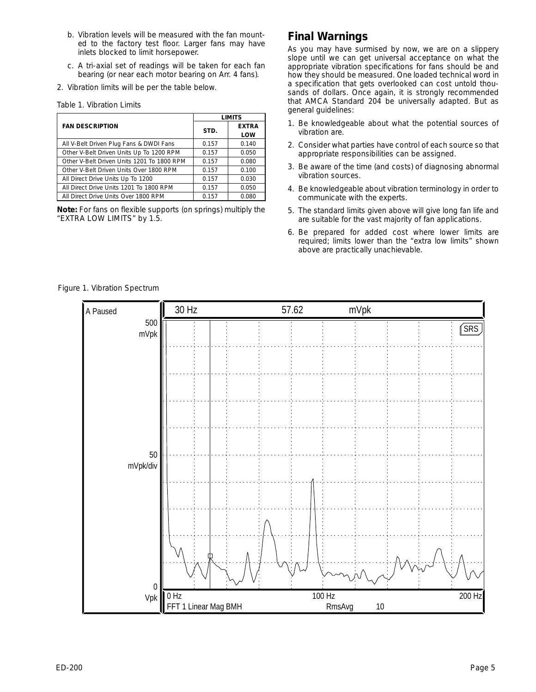- b. Vibration levels will be measured with the fan mounted to the factory test floor. Larger fans may have inlets blocked to limit horsepower.
- c. A tri-axial set of readings will be taken for each fan bearing (or near each motor bearing on Arr. 4 fans).
- 2. Vibration limits will be per the table below.

|  | Table 1. Vibration Limits |  |
|--|---------------------------|--|
|  |                           |  |

|                                            | <b>LIMITS</b> |              |  |
|--------------------------------------------|---------------|--------------|--|
| <b>FAN DESCRIPTION</b>                     | STD.          | <b>EXTRA</b> |  |
|                                            |               | LOW          |  |
| All V-Belt Driven Plug Fans & DWDI Fans    | 0.157         | 0.140        |  |
| Other V-Belt Driven Units Up To 1200 RPM   | 0.157         | 0.050        |  |
| Other V-Belt Driven Units 1201 To 1800 RPM | 0.157         | 0.080        |  |
| Other V-Belt Driven Units Over 1800 RPM    | 0.157         | 0.100        |  |
| All Direct Drive Units Up To 1200          | 0.157         | 0.030        |  |
| All Direct Drive Units 1201 To 1800 RPM    | 0.157         | 0.050        |  |
| All Direct Drive Units Over 1800 RPM       | 0.157         | 0.080        |  |

**Note:** For fans on flexible supports (on springs) multiply the "EXTRA LOW LIMITS" by 1.5.

#### **Final Warnings**

As you may have surmised by now, we are on a slippery slope until we can get universal acceptance on what the appropriate vibration specifications for fans should be and how they should be measured. One loaded technical word in a specification that gets overlooked can cost untold thousands of dollars. Once again, it is strongly recommended that AMCA Standard 204 be universally adapted. But as general guidelines:

- 1. Be knowledgeable about what the potential sources of vibration are.
- 2. Consider what parties have control of each source so that appropriate responsibilities can be assigned.
- 3. Be aware of the time (and costs) of diagnosing abnormal vibration sources.
- 4. Be knowledgeable about vibration terminology in order to communicate with the experts.
- 5. The standard limits given above will give long fan life and are suitable for the vast majority of fan applications.
- 6. Be prepared for added cost where lower limits are required; limits lower than the "extra low limits" shown above are practically unachievable.

*Figure 1. Vibration Spectrum*